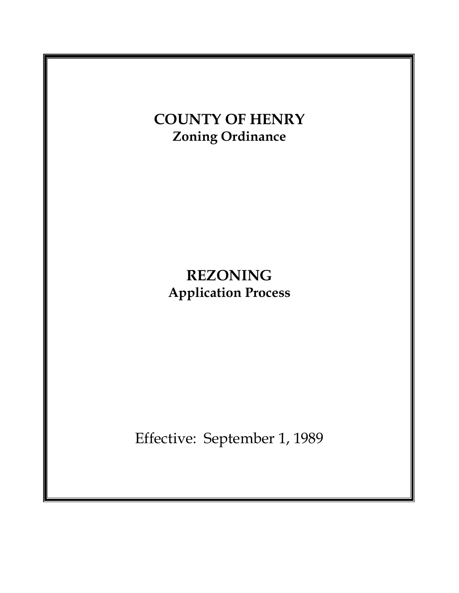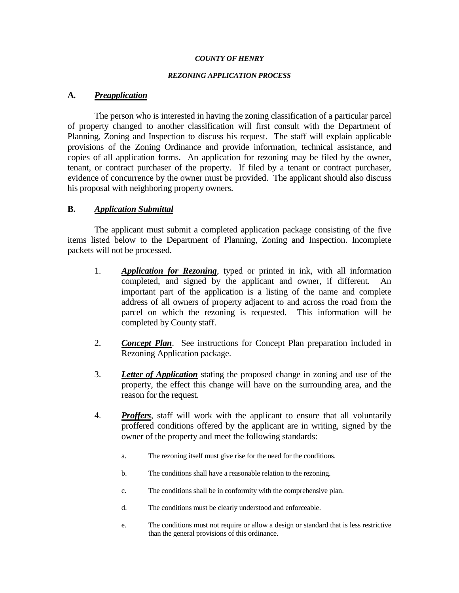#### *COUNTY OF HENRY*

#### *REZONING APPLICATION PROCESS*

### **A***. Preapplication*

The person who is interested in having the zoning classification of a particular parcel of property changed to another classification will first consult with the Department of Planning, Zoning and Inspection to discuss his request. The staff will explain applicable provisions of the Zoning Ordinance and provide information, technical assistance, and copies of all application forms. An application for rezoning may be filed by the owner, tenant, or contract purchaser of the property. If filed by a tenant or contract purchaser, evidence of concurrence by the owner must be provided. The applicant should also discuss his proposal with neighboring property owners.

### **B.** *Application Submittal*

The applicant must submit a completed application package consisting of the five items listed below to the Department of Planning, Zoning and Inspection. Incomplete packets will not be processed.

- 1. *Application for Rezoning*, typed or printed in ink, with all information completed, and signed by the applicant and owner, if different. An important part of the application is a listing of the name and complete address of all owners of property adjacent to and across the road from the parcel on which the rezoning is requested. This information will be completed by County staff.
- 2. *Concept Plan*. See instructions for Concept Plan preparation included in Rezoning Application package.
- 3. *Letter of Application* stating the proposed change in zoning and use of the property, the effect this change will have on the surrounding area, and the reason for the request.
- 4. *Proffers*, staff will work with the applicant to ensure that all voluntarily proffered conditions offered by the applicant are in writing, signed by the owner of the property and meet the following standards:
	- a. The rezoning itself must give rise for the need for the conditions.
	- b. The conditions shall have a reasonable relation to the rezoning.
	- c. The conditions shall be in conformity with the comprehensive plan.
	- d. The conditions must be clearly understood and enforceable.
	- e. The conditions must not require or allow a design or standard that is less restrictive than the general provisions of this ordinance.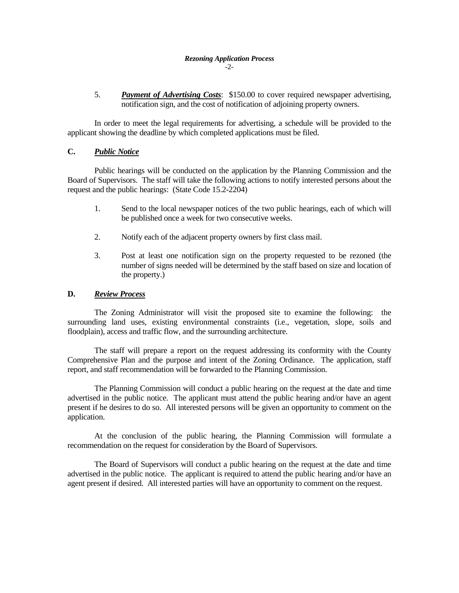#### *Rezoning Application Process* -2-

5. *Payment of Advertising Costs*: \$150.00 to cover required newspaper advertising, notification sign, and the cost of notification of adjoining property owners.

In order to meet the legal requirements for advertising, a schedule will be provided to the applicant showing the deadline by which completed applications must be filed.

### **C.** *Public Notice*

Public hearings will be conducted on the application by the Planning Commission and the Board of Supervisors. The staff will take the following actions to notify interested persons about the request and the public hearings: (State Code 15.2-2204)

- 1. Send to the local newspaper notices of the two public hearings, each of which will be published once a week for two consecutive weeks.
- 2. Notify each of the adjacent property owners by first class mail.
- 3. Post at least one notification sign on the property requested to be rezoned (the number of signs needed will be determined by the staff based on size and location of the property.)

### **D.** *Review Process*

The Zoning Administrator will visit the proposed site to examine the following: the surrounding land uses, existing environmental constraints (i.e., vegetation, slope, soils and floodplain), access and traffic flow, and the surrounding architecture.

The staff will prepare a report on the request addressing its conformity with the County Comprehensive Plan and the purpose and intent of the Zoning Ordinance. The application, staff report, and staff recommendation will be forwarded to the Planning Commission.

The Planning Commission will conduct a public hearing on the request at the date and time advertised in the public notice. The applicant must attend the public hearing and/or have an agent present if he desires to do so. All interested persons will be given an opportunity to comment on the application.

At the conclusion of the public hearing, the Planning Commission will formulate a recommendation on the request for consideration by the Board of Supervisors.

The Board of Supervisors will conduct a public hearing on the request at the date and time advertised in the public notice. The applicant is required to attend the public hearing and/or have an agent present if desired. All interested parties will have an opportunity to comment on the request.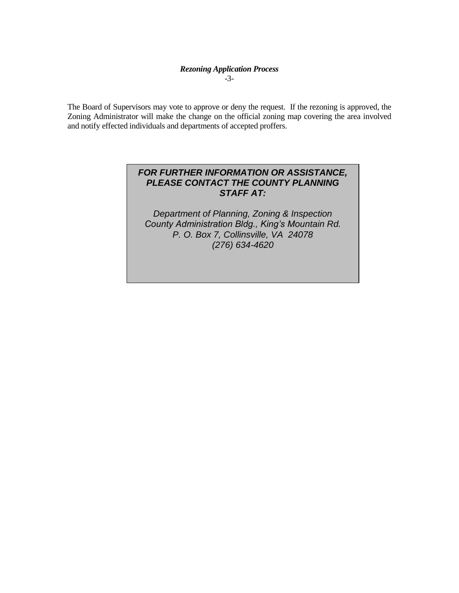### *Rezoning Application Process* -3-

The Board of Supervisors may vote to approve or deny the request. If the rezoning is approved, the Zoning Administrator will make the change on the official zoning map covering the area involved and notify effected individuals and departments of accepted proffers.

## *FOR FURTHER INFORMATION OR ASSISTANCE, PLEASE CONTACT THE COUNTY PLANNING STAFF AT:*

*Department of Planning, Zoning & Inspection County Administration Bldg., King's Mountain Rd. P. O. Box 7, Collinsville, VA 24078 (276) 634-4620*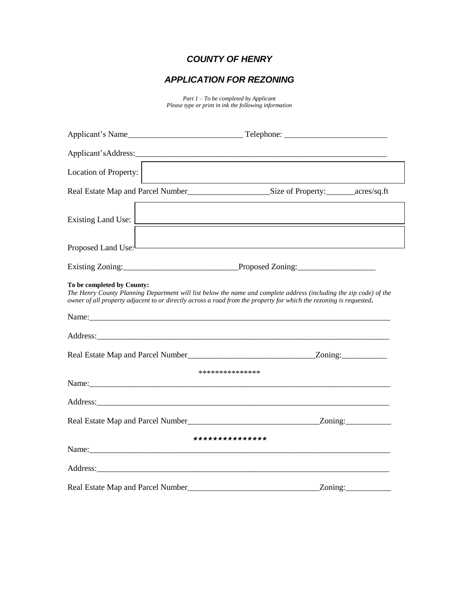# *COUNTY OF HENRY*

# *APPLICATION FOR REZONING*

*Part 1 – To be completed by Applicant Please type or print in ink the following information*

| Location of Property:             |                                                                                                                                                                                                                                                  |  |  |  |  |  |
|-----------------------------------|--------------------------------------------------------------------------------------------------------------------------------------------------------------------------------------------------------------------------------------------------|--|--|--|--|--|
|                                   |                                                                                                                                                                                                                                                  |  |  |  |  |  |
| Existing Land Use:                |                                                                                                                                                                                                                                                  |  |  |  |  |  |
| Proposed Land Use:                |                                                                                                                                                                                                                                                  |  |  |  |  |  |
|                                   |                                                                                                                                                                                                                                                  |  |  |  |  |  |
| To be completed by County:        | The Henry County Planning Department will list below the name and complete address (including the zip code) of the<br>owner of all property adjacent to or directly across a road from the property for which the rezoning is requested.         |  |  |  |  |  |
|                                   |                                                                                                                                                                                                                                                  |  |  |  |  |  |
|                                   |                                                                                                                                                                                                                                                  |  |  |  |  |  |
|                                   | ***************                                                                                                                                                                                                                                  |  |  |  |  |  |
|                                   |                                                                                                                                                                                                                                                  |  |  |  |  |  |
|                                   |                                                                                                                                                                                                                                                  |  |  |  |  |  |
|                                   |                                                                                                                                                                                                                                                  |  |  |  |  |  |
|                                   | ***************<br>Name: Name and the second contract of the second contract of the second contract of the second contract of the second contract of the second contract of the second contract of the second contract of the second contract of |  |  |  |  |  |
|                                   |                                                                                                                                                                                                                                                  |  |  |  |  |  |
| Real Estate Map and Parcel Number | Zoning:                                                                                                                                                                                                                                          |  |  |  |  |  |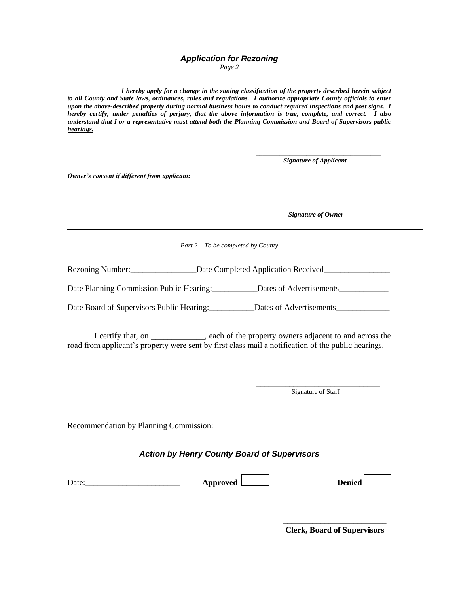## *Application for Rezoning*

*Page 2*

*I hereby apply for a change in the zoning classification of the property described herein subject to all County and State laws, ordinances, rules and regulations. I authorize appropriate County officials to enter upon the above-described property during normal business hours to conduct required inspections and post signs. I hereby certify, under penalties of perjury, that the above information is true, complete, and correct. I also understand that I or a representative must attend both the Planning Commission and Board of Supervisors public hearings.*

> *\_\_\_\_\_\_\_\_\_\_\_\_\_\_\_\_\_\_\_\_\_\_\_\_\_\_\_\_\_\_\_\_\_\_\_\_\_ Signature of Applicant*

*Owner's consent if different from applicant:*

*\_\_\_\_\_\_\_\_\_\_\_\_\_\_\_\_\_\_\_\_\_\_\_\_\_\_\_\_\_\_\_\_\_\_\_\_\_ Signature of Owner*

*Part 2 – To be completed by County*

Rezoning Number: \_\_\_\_\_\_\_\_\_\_\_\_\_\_\_\_\_\_\_Date Completed Application Received\_\_\_\_\_\_\_\_\_\_\_\_\_\_\_\_

Date Planning Commission Public Hearing: Dates of Advertisements

Date Board of Supervisors Public Hearing: \_\_\_\_\_\_\_\_\_\_\_\_Dates of Advertisements

I certify that, on \_\_\_\_\_\_\_\_\_\_\_\_\_, each of the property owners adjacent to and across the road from applicant's property were sent by first class mail a notification of the public hearings.

Signature of Staff

Recommendation by Planning Commission:

## *Action by Henry County Board of Supervisors*

| Date: |  |  |  |  |
|-------|--|--|--|--|
|       |  |  |  |  |

Approved **Denied** 

**\_\_\_\_\_\_\_\_\_\_\_\_\_\_\_\_\_\_\_\_\_\_\_\_\_ Clerk, Board of Supervisors**